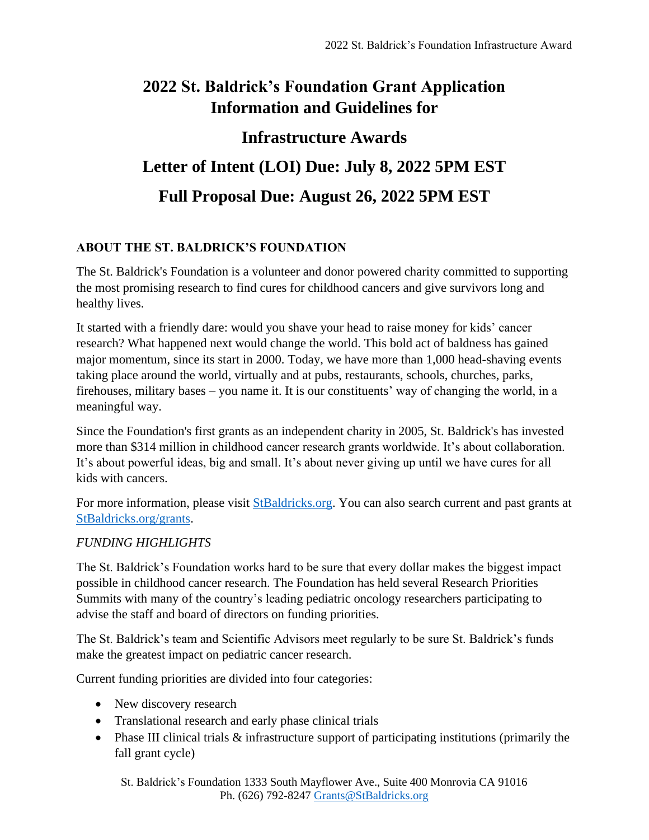## **2022 St. Baldrick's Foundation Grant Application Information and Guidelines for**

# **Infrastructure Awards Letter of Intent (LOI) Due: July 8, 2022 5PM EST Full Proposal Due: August 26, 2022 5PM EST**

#### **ABOUT THE ST. BALDRICK'S FOUNDATION**

The St. Baldrick's Foundation is a volunteer and donor powered charity committed to supporting the most promising research to find cures for childhood cancers and give survivors long and healthy lives.

It started with a friendly dare: would you shave your head to raise money for kids' cancer research? What happened next would change the world. This bold act of baldness has gained major momentum, since its start in 2000. Today, we have more than 1,000 head-shaving events taking place around the world, virtually and at pubs, restaurants, schools, churches, parks, firehouses, military bases – you name it. It is our constituents' way of changing the world, in a meaningful way.

Since the Foundation's first grants as an independent charity in 2005, St. Baldrick's has invested more than \$314 million in childhood cancer research grants worldwide. It's about collaboration. It's about powerful ideas, big and small. It's about never giving up until we have cures for all kids with cancers.

For more information, please visit [StBaldricks.org.](https://www.stbaldricks.org/) You can also search current and past grants at [StBaldricks.org/grants.](https://www.stbaldricks.org/grants)

#### *FUNDING HIGHLIGHTS*

The St. Baldrick's Foundation works hard to be sure that every dollar makes the biggest impact possible in childhood cancer research. The Foundation has held several Research Priorities Summits with many of the country's leading pediatric oncology researchers participating to advise the staff and board of directors on funding priorities.

The St. Baldrick's team and Scientific Advisors meet regularly to be sure St. Baldrick's funds make the greatest impact on pediatric cancer research.

Current funding priorities are divided into four categories:

- New discovery research
- Translational research and early phase clinical trials
- Phase III clinical trials  $\&$  infrastructure support of participating institutions (primarily the fall grant cycle)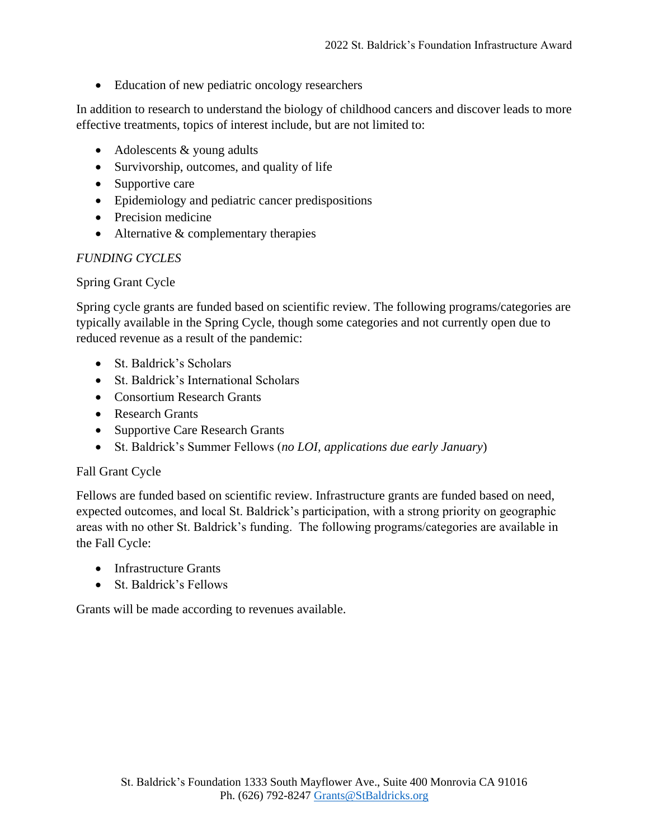• Education of new pediatric oncology researchers

In addition to research to understand the biology of childhood cancers and discover leads to more effective treatments, topics of interest include, but are not limited to:

- Adolescents & young adults
- Survivorship, outcomes, and quality of life
- Supportive care
- Epidemiology and pediatric cancer predispositions
- Precision medicine
- Alternative & complementary therapies

#### *FUNDING CYCLES*

#### Spring Grant Cycle

Spring cycle grants are funded based on scientific review. The following programs/categories are typically available in the Spring Cycle, though some categories and not currently open due to reduced revenue as a result of the pandemic:

- St. Baldrick's Scholars
- St. Baldrick's International Scholars
- Consortium Research Grants
- Research Grants
- Supportive Care Research Grants
- St. Baldrick's Summer Fellows (*no LOI, applications due early January*)

#### Fall Grant Cycle

Fellows are funded based on scientific review. Infrastructure grants are funded based on need, expected outcomes, and local St. Baldrick's participation, with a strong priority on geographic areas with no other St. Baldrick's funding. The following programs/categories are available in the Fall Cycle:

- Infrastructure Grants
- St. Baldrick's Fellows

Grants will be made according to revenues available.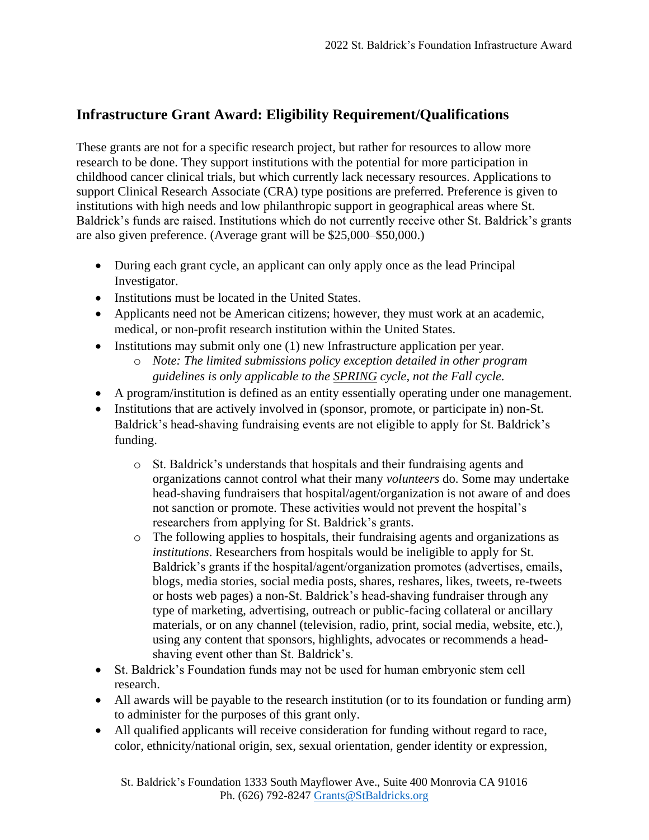## **Infrastructure Grant Award: Eligibility Requirement/Qualifications**

These grants are not for a specific research project, but rather for resources to allow more research to be done. They support institutions with the potential for more participation in childhood cancer clinical trials, but which currently lack necessary resources. Applications to support Clinical Research Associate (CRA) type positions are preferred. Preference is given to institutions with high needs and low philanthropic support in geographical areas where St. Baldrick's funds are raised. Institutions which do not currently receive other St. Baldrick's grants are also given preference. (Average grant will be \$25,000–\$50,000.)

- During each grant cycle, an applicant can only apply once as the lead Principal Investigator.
- Institutions must be located in the United States.
- Applicants need not be American citizens; however, they must work at an academic, medical, or non-profit research institution within the United States.
- Institutions may submit only one (1) new Infrastructure application per year. o *Note: The limited submissions policy exception detailed in other program guidelines is only applicable to the SPRING cycle, not the Fall cycle.*
- A program/institution is defined as an entity essentially operating under one management.
- Institutions that are actively involved in (sponsor, promote, or participate in) non-St. Baldrick's head-shaving fundraising events are not eligible to apply for St. Baldrick's funding.
	- o St. Baldrick's understands that hospitals and their fundraising agents and organizations cannot control what their many *volunteers* do. Some may undertake head-shaving fundraisers that hospital/agent/organization is not aware of and does not sanction or promote. These activities would not prevent the hospital's researchers from applying for St. Baldrick's grants.
	- o The following applies to hospitals, their fundraising agents and organizations as *institutions*. Researchers from hospitals would be ineligible to apply for St. Baldrick's grants if the hospital/agent/organization promotes (advertises, emails, blogs, media stories, social media posts, shares, reshares, likes, tweets, re-tweets or hosts web pages) a non-St. Baldrick's head-shaving fundraiser through any type of marketing, advertising, outreach or public-facing collateral or ancillary materials, or on any channel (television, radio, print, social media, website, etc.), using any content that sponsors, highlights, advocates or recommends a headshaving event other than St. Baldrick's.
- St. Baldrick's Foundation funds may not be used for human embryonic stem cell research.
- All awards will be payable to the research institution (or to its foundation or funding arm) to administer for the purposes of this grant only.
- All qualified applicants will receive consideration for funding without regard to race, color, ethnicity/national origin, sex, sexual orientation, gender identity or expression,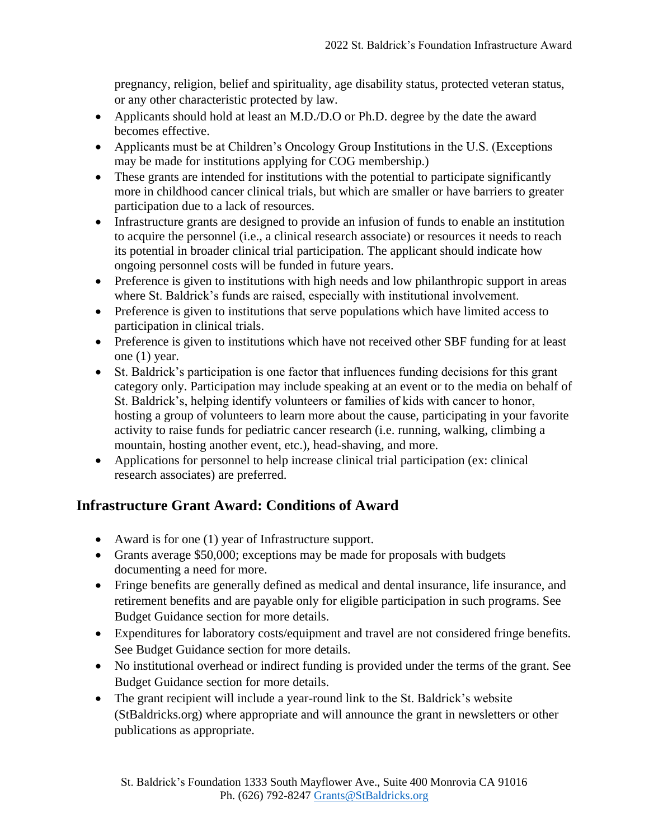pregnancy, religion, belief and spirituality, age disability status, protected veteran status, or any other characteristic protected by law.

- Applicants should hold at least an M.D./D.O or Ph.D. degree by the date the award becomes effective.
- Applicants must be at Children's Oncology Group Institutions in the U.S. (Exceptions may be made for institutions applying for COG membership.)
- These grants are intended for institutions with the potential to participate significantly more in childhood cancer clinical trials, but which are smaller or have barriers to greater participation due to a lack of resources.
- Infrastructure grants are designed to provide an infusion of funds to enable an institution to acquire the personnel (i.e., a clinical research associate) or resources it needs to reach its potential in broader clinical trial participation. The applicant should indicate how ongoing personnel costs will be funded in future years.
- Preference is given to institutions with high needs and low philanthropic support in areas where St. Baldrick's funds are raised, especially with institutional involvement.
- Preference is given to institutions that serve populations which have limited access to participation in clinical trials.
- Preference is given to institutions which have not received other SBF funding for at least one (1) year.
- St. Baldrick's participation is one factor that influences funding decisions for this grant category only. Participation may include speaking at an event or to the media on behalf of St. Baldrick's, helping identify volunteers or families of kids with cancer to honor, hosting a group of volunteers to learn more about the cause, participating in your favorite activity to raise funds for pediatric cancer research (i.e. running, walking, climbing a mountain, hosting another event, etc.), head-shaving, and more.
- Applications for personnel to help increase clinical trial participation (ex: clinical research associates) are preferred.

## **Infrastructure Grant Award: Conditions of Award**

- Award is for one (1) year of Infrastructure support.
- Grants average \$50,000; exceptions may be made for proposals with budgets documenting a need for more.
- Fringe benefits are generally defined as medical and dental insurance, life insurance, and retirement benefits and are payable only for eligible participation in such programs. See Budget Guidance section for more details.
- Expenditures for laboratory costs/equipment and travel are not considered fringe benefits. See Budget Guidance section for more details.
- No institutional overhead or indirect funding is provided under the terms of the grant. See Budget Guidance section for more details.
- The grant recipient will include a year-round link to the St. Baldrick's website (StBaldricks.org) where appropriate and will announce the grant in newsletters or other publications as appropriate.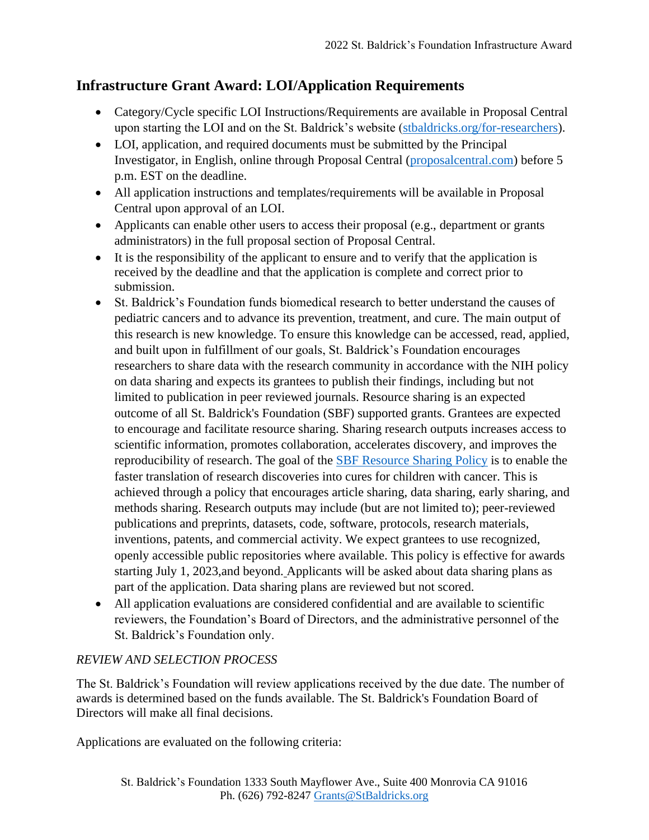## **Infrastructure Grant Award: LOI/Application Requirements**

- Category/Cycle specific LOI Instructions/Requirements are available in Proposal Central upon starting the LOI and on the St. Baldrick's website [\(stbaldricks.org/for-researchers\)](https://www.stbaldricks.org/for-researchers).
- LOI, application, and required documents must be submitted by the Principal Investigator, in English, online through Proposal Central [\(proposalcentral.com\)](https://proposalcentral.altum.com/) before 5 p.m. EST on the deadline.
- All application instructions and templates/requirements will be available in Proposal Central upon approval of an LOI.
- Applicants can enable other users to access their proposal (e.g., department or grants administrators) in the full proposal section of Proposal Central.
- It is the responsibility of the applicant to ensure and to verify that the application is received by the deadline and that the application is complete and correct prior to submission.
- St. Baldrick's Foundation funds biomedical research to better understand the causes of pediatric cancers and to advance its prevention, treatment, and cure. The main output of this research is new knowledge. To ensure this knowledge can be accessed, read, applied, and built upon in fulfillment of our goals, St. Baldrick's Foundation encourages researchers to share data with the research community in accordance with the NIH policy on data sharing and expects its grantees to publish their findings, including but not limited to publication in peer reviewed journals. Resource sharing is an expected outcome of all St. Baldrick's Foundation (SBF) supported grants. Grantees are expected to encourage and facilitate resource sharing. Sharing research outputs increases access to scientific information, promotes collaboration, accelerates discovery, and improves the reproducibility of research. The goal of the [SBF Resource Sharing Policy](https://www.stbaldricks.org/file/website_content/see_the_impact/SBF-Resource-Sharing-Policy.pdf) is to enable the faster translation of research discoveries into cures for children with cancer. This is achieved through a policy that encourages article sharing, data sharing, early sharing, and methods sharing. Research outputs may include (but are not limited to); peer-reviewed publications and preprints, datasets, code, software, protocols, research materials, inventions, patents, and commercial activity. We expect grantees to use recognized, openly accessible public repositories where available. This policy is effective for awards starting July 1, 2023,and beyond. Applicants will be asked about data sharing plans as part of the application. Data sharing plans are reviewed but not scored.
- All application evaluations are considered confidential and are available to scientific reviewers, the Foundation's Board of Directors, and the administrative personnel of the St. Baldrick's Foundation only.

## *REVIEW AND SELECTION PROCESS*

The St. Baldrick's Foundation will review applications received by the due date. The number of awards is determined based on the funds available. The St. Baldrick's Foundation Board of Directors will make all final decisions.

Applications are evaluated on the following criteria: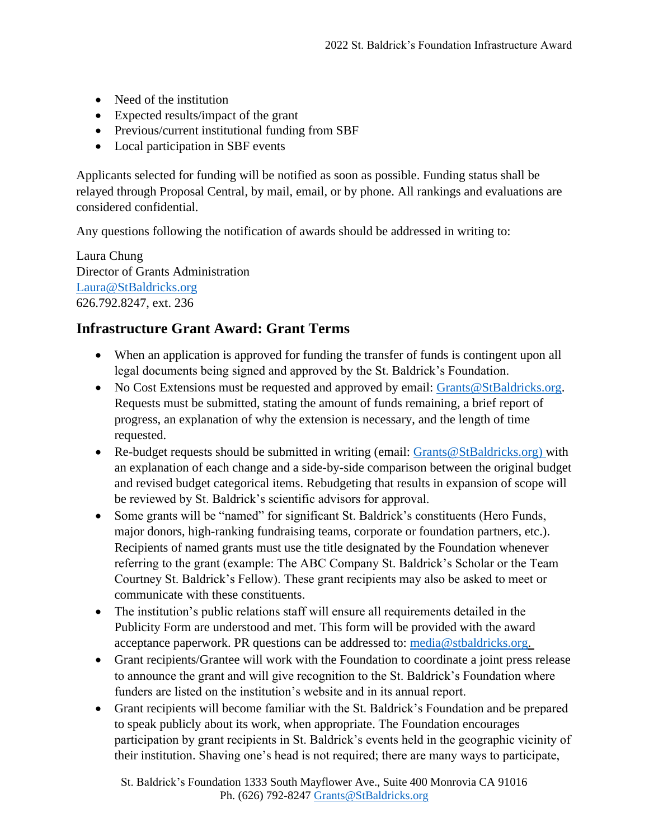- Need of the institution
- Expected results/impact of the grant
- Previous/current institutional funding from SBF
- Local participation in SBF events

Applicants selected for funding will be notified as soon as possible. Funding status shall be relayed through Proposal Central, by mail, email, or by phone. All rankings and evaluations are considered confidential.

Any questions following the notification of awards should be addressed in writing to:

Laura Chung Director of Grants Administration [Laura@StBaldricks.org](mailto:Laura@StBaldricks.org) 626.792.8247, ext. 236

## **Infrastructure Grant Award: Grant Terms**

- When an application is approved for funding the transfer of funds is contingent upon all legal documents being signed and approved by the St. Baldrick's Foundation.
- No Cost Extensions must be requested and approved by email: [Grants@StBaldricks.org.](mailto:Grants@StBaldricks.org) Requests must be submitted, stating the amount of funds remaining, a brief report of progress, an explanation of why the extension is necessary, and the length of time requested.
- Re-budget requests should be submitted in writing (email: [Grants@StBaldricks.org\)](mailto:Grants@StBaldricks.org) with an explanation of each change and a side-by-side comparison between the original budget and revised budget categorical items. Rebudgeting that results in expansion of scope will be reviewed by St. Baldrick's scientific advisors for approval.
- Some grants will be "named" for significant St. Baldrick's constituents (Hero Funds, major donors, high-ranking fundraising teams, corporate or foundation partners, etc.). Recipients of named grants must use the title designated by the Foundation whenever referring to the grant (example: The ABC Company St. Baldrick's Scholar or the Team Courtney St. Baldrick's Fellow). These grant recipients may also be asked to meet or communicate with these constituents.
- The institution's public relations staff will ensure all requirements detailed in the Publicity Form are understood and met. This form will be provided with the award acceptance paperwork. PR questions can be addressed to: [media@stbaldricks.org.](mailto:media@stbaldricks.org)
- Grant recipients/Grantee will work with the Foundation to coordinate a joint press release to announce the grant and will give recognition to the St. Baldrick's Foundation where funders are listed on the institution's website and in its annual report.
- Grant recipients will become familiar with the St. Baldrick's Foundation and be prepared to speak publicly about its work, when appropriate. The Foundation encourages participation by grant recipients in St. Baldrick's events held in the geographic vicinity of their institution. Shaving one's head is not required; there are many ways to participate,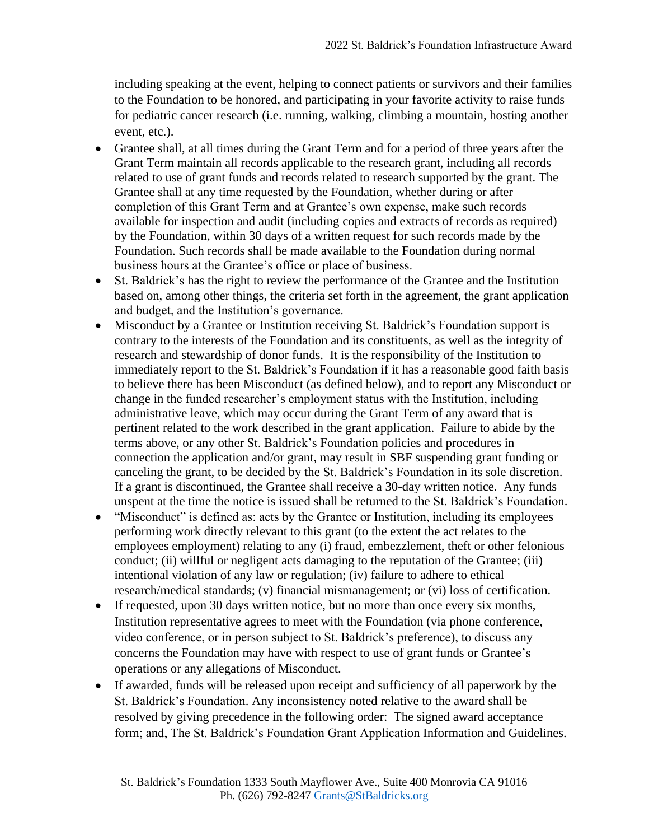including speaking at the event, helping to connect patients or survivors and their families to the Foundation to be honored, and participating in your favorite activity to raise funds for pediatric cancer research (i.e. running, walking, climbing a mountain, hosting another event, etc.).

- Grantee shall, at all times during the Grant Term and for a period of three years after the Grant Term maintain all records applicable to the research grant, including all records related to use of grant funds and records related to research supported by the grant. The Grantee shall at any time requested by the Foundation, whether during or after completion of this Grant Term and at Grantee's own expense, make such records available for inspection and audit (including copies and extracts of records as required) by the Foundation, within 30 days of a written request for such records made by the Foundation. Such records shall be made available to the Foundation during normal business hours at the Grantee's office or place of business.
- St. Baldrick's has the right to review the performance of the Grantee and the Institution based on, among other things, the criteria set forth in the agreement, the grant application and budget, and the Institution's governance.
- Misconduct by a Grantee or Institution receiving St. Baldrick's Foundation support is contrary to the interests of the Foundation and its constituents, as well as the integrity of research and stewardship of donor funds. It is the responsibility of the Institution to immediately report to the St. Baldrick's Foundation if it has a reasonable good faith basis to believe there has been Misconduct (as defined below), and to report any Misconduct or change in the funded researcher's employment status with the Institution, including administrative leave, which may occur during the Grant Term of any award that is pertinent related to the work described in the grant application. Failure to abide by the terms above, or any other St. Baldrick's Foundation policies and procedures in connection the application and/or grant, may result in SBF suspending grant funding or canceling the grant, to be decided by the St. Baldrick's Foundation in its sole discretion. If a grant is discontinued, the Grantee shall receive a 30-day written notice. Any funds unspent at the time the notice is issued shall be returned to the St. Baldrick's Foundation.
- "Misconduct" is defined as: acts by the Grantee or Institution, including its employees performing work directly relevant to this grant (to the extent the act relates to the employees employment) relating to any (i) fraud, embezzlement, theft or other felonious conduct; (ii) willful or negligent acts damaging to the reputation of the Grantee; (iii) intentional violation of any law or regulation; (iv) failure to adhere to ethical research/medical standards; (v) financial mismanagement; or (vi) loss of certification.
- If requested, upon 30 days written notice, but no more than once every six months, Institution representative agrees to meet with the Foundation (via phone conference, video conference, or in person subject to St. Baldrick's preference), to discuss any concerns the Foundation may have with respect to use of grant funds or Grantee's operations or any allegations of Misconduct.
- If awarded, funds will be released upon receipt and sufficiency of all paperwork by the St. Baldrick's Foundation. Any inconsistency noted relative to the award shall be resolved by giving precedence in the following order: The signed award acceptance form; and, The St. Baldrick's Foundation Grant Application Information and Guidelines.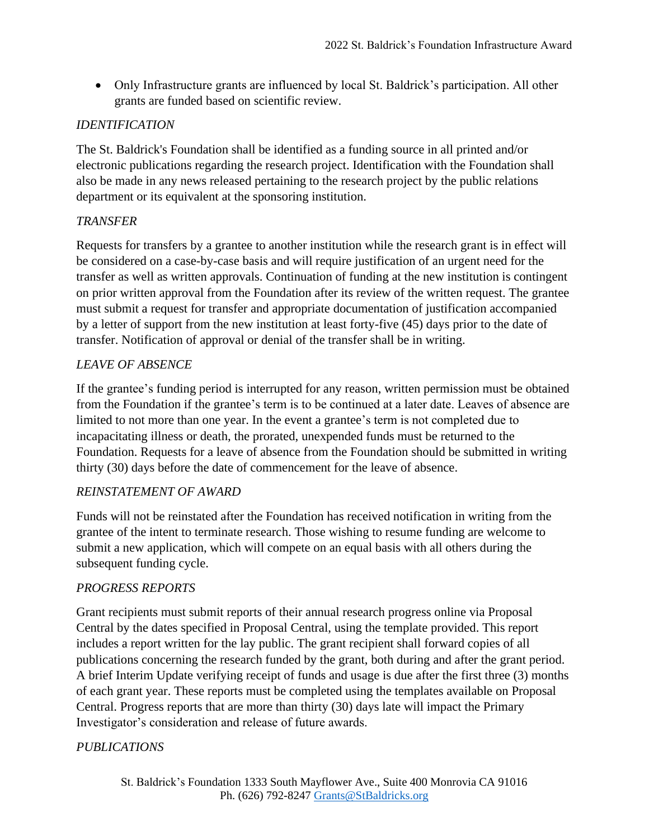• Only Infrastructure grants are influenced by local St. Baldrick's participation. All other grants are funded based on scientific review.

#### *IDENTIFICATION*

The St. Baldrick's Foundation shall be identified as a funding source in all printed and/or electronic publications regarding the research project. Identification with the Foundation shall also be made in any news released pertaining to the research project by the public relations department or its equivalent at the sponsoring institution.

#### *TRANSFER*

Requests for transfers by a grantee to another institution while the research grant is in effect will be considered on a case-by-case basis and will require justification of an urgent need for the transfer as well as written approvals. Continuation of funding at the new institution is contingent on prior written approval from the Foundation after its review of the written request. The grantee must submit a request for transfer and appropriate documentation of justification accompanied by a letter of support from the new institution at least forty-five (45) days prior to the date of transfer. Notification of approval or denial of the transfer shall be in writing.

#### *LEAVE OF ABSENCE*

If the grantee's funding period is interrupted for any reason, written permission must be obtained from the Foundation if the grantee's term is to be continued at a later date. Leaves of absence are limited to not more than one year. In the event a grantee's term is not completed due to incapacitating illness or death, the prorated, unexpended funds must be returned to the Foundation. Requests for a leave of absence from the Foundation should be submitted in writing thirty (30) days before the date of commencement for the leave of absence.

#### *REINSTATEMENT OF AWARD*

Funds will not be reinstated after the Foundation has received notification in writing from the grantee of the intent to terminate research. Those wishing to resume funding are welcome to submit a new application, which will compete on an equal basis with all others during the subsequent funding cycle.

#### *PROGRESS REPORTS*

Grant recipients must submit reports of their annual research progress online via Proposal Central by the dates specified in Proposal Central, using the template provided. This report includes a report written for the lay public. The grant recipient shall forward copies of all publications concerning the research funded by the grant, both during and after the grant period. A brief Interim Update verifying receipt of funds and usage is due after the first three (3) months of each grant year. These reports must be completed using the templates available on Proposal Central. Progress reports that are more than thirty (30) days late will impact the Primary Investigator's consideration and release of future awards.

#### *PUBLICATIONS*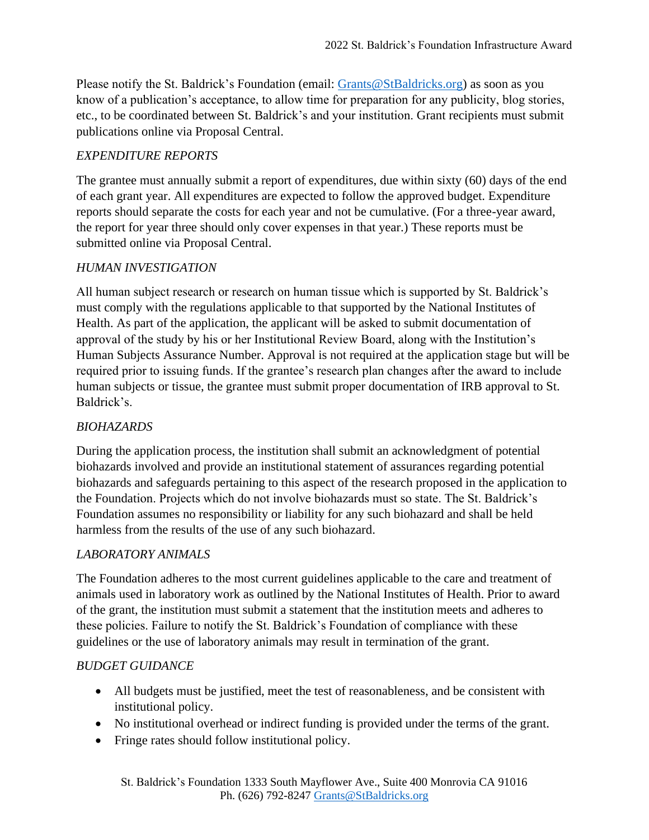Please notify the St. Baldrick's Foundation (email: [Grants@StBaldricks.org\)](mailto:Grants@StBaldricks.org) as soon as you know of a publication's acceptance, to allow time for preparation for any publicity, blog stories, etc., to be coordinated between St. Baldrick's and your institution. Grant recipients must submit publications online via Proposal Central.

#### *EXPENDITURE REPORTS*

The grantee must annually submit a report of expenditures, due within sixty (60) days of the end of each grant year. All expenditures are expected to follow the approved budget. Expenditure reports should separate the costs for each year and not be cumulative. (For a three-year award, the report for year three should only cover expenses in that year.) These reports must be submitted online via Proposal Central.

#### *HUMAN INVESTIGATION*

All human subject research or research on human tissue which is supported by St. Baldrick's must comply with the regulations applicable to that supported by the National Institutes of Health. As part of the application, the applicant will be asked to submit documentation of approval of the study by his or her Institutional Review Board, along with the Institution's Human Subjects Assurance Number. Approval is not required at the application stage but will be required prior to issuing funds. If the grantee's research plan changes after the award to include human subjects or tissue, the grantee must submit proper documentation of IRB approval to St. Baldrick's.

#### *BIOHAZARDS*

During the application process, the institution shall submit an acknowledgment of potential biohazards involved and provide an institutional statement of assurances regarding potential biohazards and safeguards pertaining to this aspect of the research proposed in the application to the Foundation. Projects which do not involve biohazards must so state. The St. Baldrick's Foundation assumes no responsibility or liability for any such biohazard and shall be held harmless from the results of the use of any such biohazard.

#### *LABORATORY ANIMALS*

The Foundation adheres to the most current guidelines applicable to the care and treatment of animals used in laboratory work as outlined by the National Institutes of Health. Prior to award of the grant, the institution must submit a statement that the institution meets and adheres to these policies. Failure to notify the St. Baldrick's Foundation of compliance with these guidelines or the use of laboratory animals may result in termination of the grant.

#### *BUDGET GUIDANCE*

- All budgets must be justified, meet the test of reasonableness, and be consistent with institutional policy.
- No institutional overhead or indirect funding is provided under the terms of the grant.
- Fringe rates should follow institutional policy.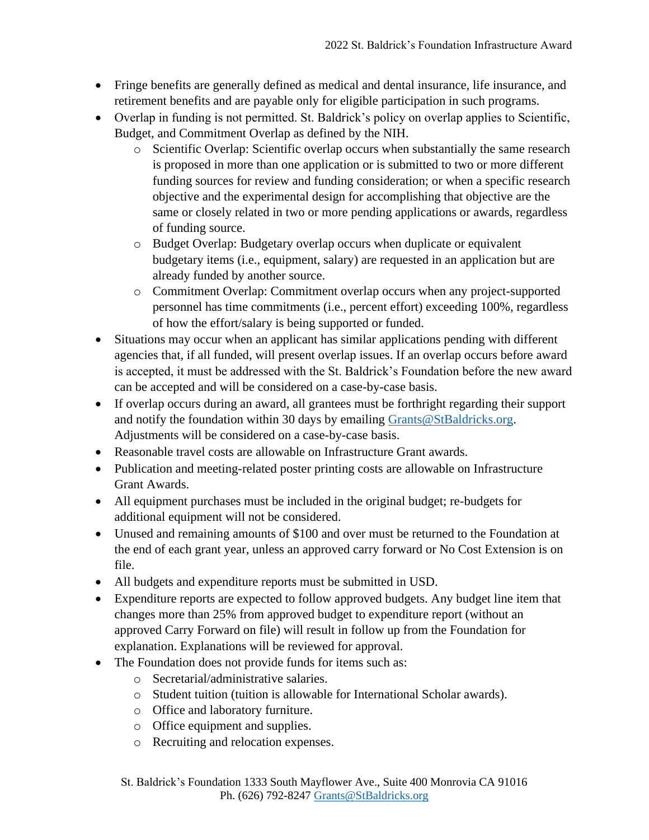- Fringe benefits are generally defined as medical and dental insurance, life insurance, and retirement benefits and are payable only for eligible participation in such programs.
- Overlap in funding is not permitted. St. Baldrick's policy on overlap applies to Scientific, Budget, and Commitment Overlap as defined by the NIH.
	- o Scientific Overlap: Scientific overlap occurs when substantially the same research is proposed in more than one application or is submitted to two or more different funding sources for review and funding consideration; or when a specific research objective and the experimental design for accomplishing that objective are the same or closely related in two or more pending applications or awards, regardless of funding source.
	- o Budget Overlap: Budgetary overlap occurs when duplicate or equivalent budgetary items (i.e., equipment, salary) are requested in an application but are already funded by another source.
	- o Commitment Overlap: Commitment overlap occurs when any project-supported personnel has time commitments (i.e., percent effort) exceeding 100%, regardless of how the effort/salary is being supported or funded.
- Situations may occur when an applicant has similar applications pending with different agencies that, if all funded, will present overlap issues. If an overlap occurs before award is accepted, it must be addressed with the St. Baldrick's Foundation before the new award can be accepted and will be considered on a case-by-case basis.
- If overlap occurs during an award, all grantees must be forthright regarding their support and notify the foundation within 30 days by emailing [Grants@StBaldricks.org.](mailto:Grants@StBaldricks.org) Adjustments will be considered on a case-by-case basis.
- Reasonable travel costs are allowable on Infrastructure Grant awards.
- Publication and meeting-related poster printing costs are allowable on Infrastructure Grant Awards.
- All equipment purchases must be included in the original budget; re-budgets for additional equipment will not be considered.
- Unused and remaining amounts of \$100 and over must be returned to the Foundation at the end of each grant year, unless an approved carry forward or No Cost Extension is on file.
- All budgets and expenditure reports must be submitted in USD.
- Expenditure reports are expected to follow approved budgets. Any budget line item that changes more than 25% from approved budget to expenditure report (without an approved Carry Forward on file) will result in follow up from the Foundation for explanation. Explanations will be reviewed for approval.
- The Foundation does not provide funds for items such as:
	- o Secretarial/administrative salaries.
	- o Student tuition (tuition is allowable for International Scholar awards).
	- o Office and laboratory furniture.
	- o Office equipment and supplies.
	- o Recruiting and relocation expenses.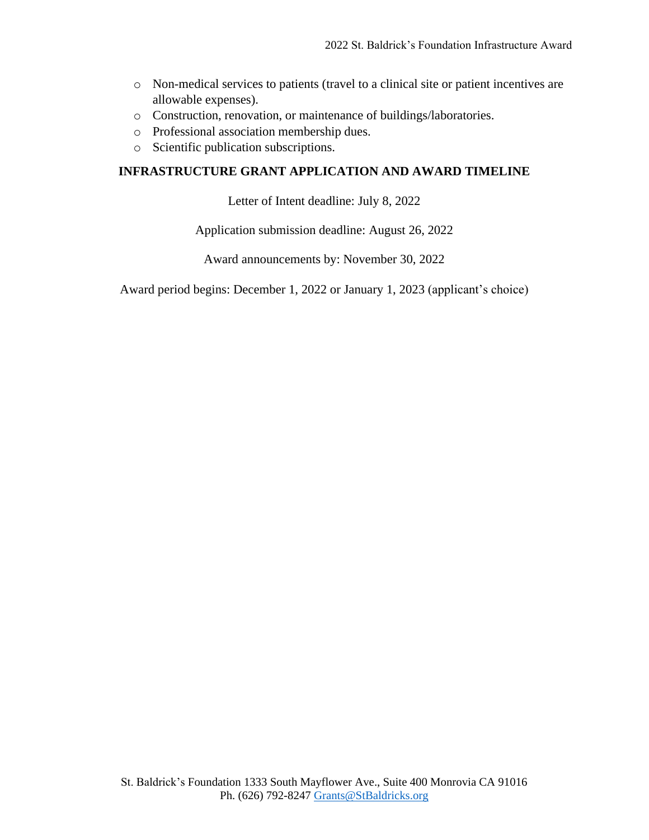- o Non-medical services to patients (travel to a clinical site or patient incentives are allowable expenses).
- o Construction, renovation, or maintenance of buildings/laboratories.
- o Professional association membership dues.
- o Scientific publication subscriptions.

#### **INFRASTRUCTURE GRANT APPLICATION AND AWARD TIMELINE**

Letter of Intent deadline: July 8, 2022

Application submission deadline: August 26, 2022

Award announcements by: November 30, 2022

Award period begins: December 1, 2022 or January 1, 2023 (applicant's choice)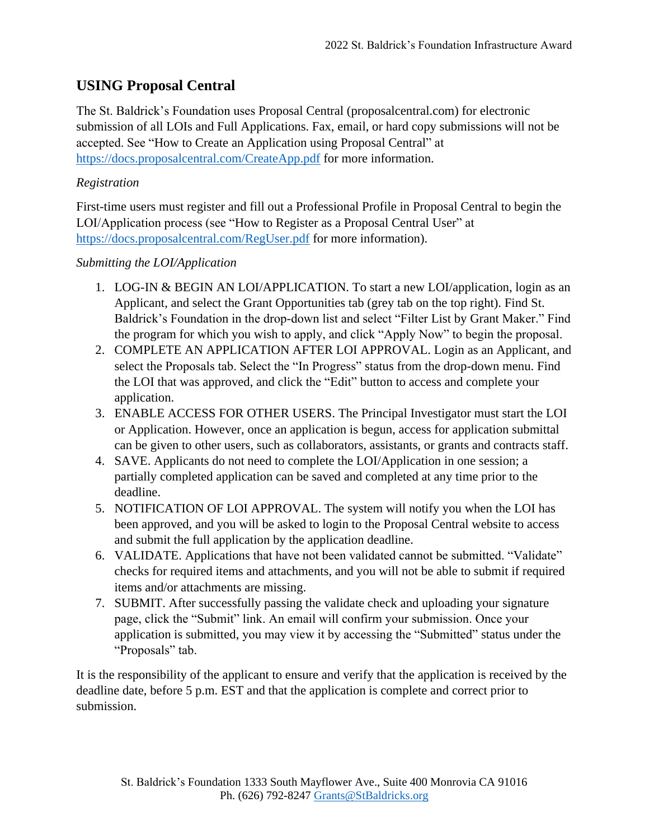## **USING Proposal Central**

The St. Baldrick's Foundation uses Proposal Central (proposalcentral.com) for electronic submission of all LOIs and Full Applications. Fax, email, or hard copy submissions will not be accepted. See "How to Create an Application using Proposal Central" at <https://docs.proposalcentral.com/CreateApp.pdf> for more information.

### *Registration*

First-time users must register and fill out a Professional Profile in Proposal Central to begin the LOI/Application process (see "How to Register as a Proposal Central User" at <https://docs.proposalcentral.com/RegUser.pdf> for more information).

#### *Submitting the LOI/Application*

- 1. LOG-IN & BEGIN AN LOI/APPLICATION. To start a new LOI/application, login as an Applicant, and select the Grant Opportunities tab (grey tab on the top right). Find St. Baldrick's Foundation in the drop-down list and select "Filter List by Grant Maker." Find the program for which you wish to apply, and click "Apply Now" to begin the proposal.
- 2. COMPLETE AN APPLICATION AFTER LOI APPROVAL. Login as an Applicant, and select the Proposals tab. Select the "In Progress" status from the drop-down menu. Find the LOI that was approved, and click the "Edit" button to access and complete your application.
- 3. ENABLE ACCESS FOR OTHER USERS. The Principal Investigator must start the LOI or Application. However, once an application is begun, access for application submittal can be given to other users, such as collaborators, assistants, or grants and contracts staff.
- 4. SAVE. Applicants do not need to complete the LOI/Application in one session; a partially completed application can be saved and completed at any time prior to the deadline.
- 5. NOTIFICATION OF LOI APPROVAL. The system will notify you when the LOI has been approved, and you will be asked to login to the Proposal Central website to access and submit the full application by the application deadline.
- 6. VALIDATE. Applications that have not been validated cannot be submitted. "Validate" checks for required items and attachments, and you will not be able to submit if required items and/or attachments are missing.
- 7. SUBMIT. After successfully passing the validate check and uploading your signature page, click the "Submit" link. An email will confirm your submission. Once your application is submitted, you may view it by accessing the "Submitted" status under the "Proposals" tab.

It is the responsibility of the applicant to ensure and verify that the application is received by the deadline date, before 5 p.m. EST and that the application is complete and correct prior to submission.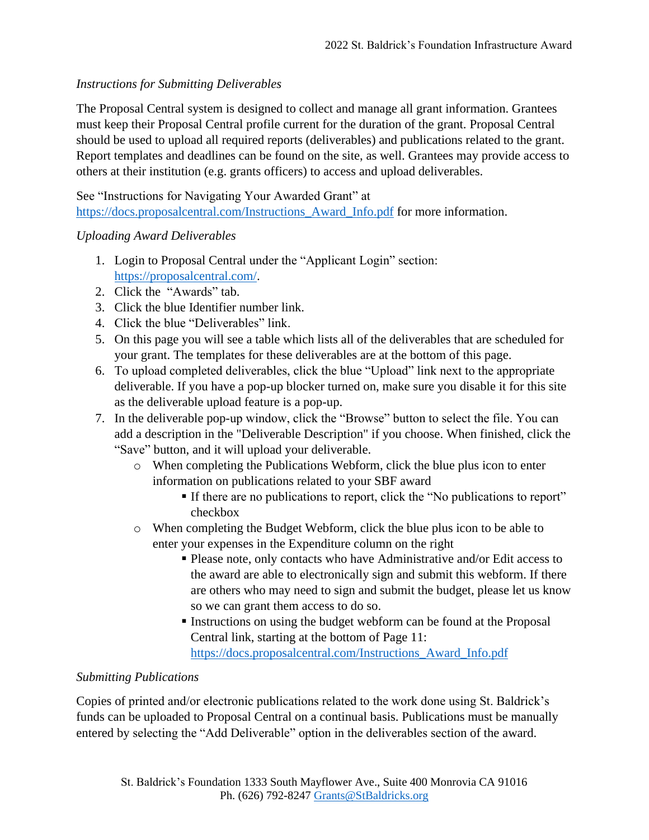#### *Instructions for Submitting Deliverables*

The Proposal Central system is designed to collect and manage all grant information. Grantees must keep their Proposal Central profile current for the duration of the grant. Proposal Central should be used to upload all required reports (deliverables) and publications related to the grant. Report templates and deadlines can be found on the site, as well. Grantees may provide access to others at their institution (e.g. grants officers) to access and upload deliverables.

See "Instructions for Navigating Your Awarded Grant" at https://docs.proposalcentral.com/Instructions Award Info.pdf for more information.

#### *Uploading Award Deliverables*

- 1. Login to Proposal Central under the "Applicant Login" section: [https://proposalcentral.com/.](https://proposalcentral.com/)
- 2. Click the "Awards" tab.
- 3. Click the blue Identifier number link.
- 4. Click the blue "Deliverables" link.
- 5. On this page you will see a table which lists all of the deliverables that are scheduled for your grant. The templates for these deliverables are at the bottom of this page.
- 6. To upload completed deliverables, click the blue "Upload" link next to the appropriate deliverable. If you have a pop-up blocker turned on, make sure you disable it for this site as the deliverable upload feature is a pop-up.
- 7. In the deliverable pop-up window, click the "Browse" button to select the file. You can add a description in the "Deliverable Description" if you choose. When finished, click the "Save" button, and it will upload your deliverable.
	- o When completing the Publications Webform, click the blue plus icon to enter information on publications related to your SBF award
		- If there are no publications to report, click the "No publications to report" checkbox
	- o When completing the Budget Webform, click the blue plus icon to be able to enter your expenses in the Expenditure column on the right
		- Please note, only contacts who have Administrative and/or Edit access to the award are able to electronically sign and submit this webform. If there are others who may need to sign and submit the budget, please let us know so we can grant them access to do so.
		- **Instructions on using the budget webform can be found at the Proposal** Central link, starting at the bottom of Page 11: [https://docs.proposalcentral.com/Instructions\\_Award\\_Info.pdf](https://docs.proposalcentral.com/Instructions_Award_Info.pdf)

#### *Submitting Publications*

Copies of printed and/or electronic publications related to the work done using St. Baldrick's funds can be uploaded to Proposal Central on a continual basis. Publications must be manually entered by selecting the "Add Deliverable" option in the deliverables section of the award.